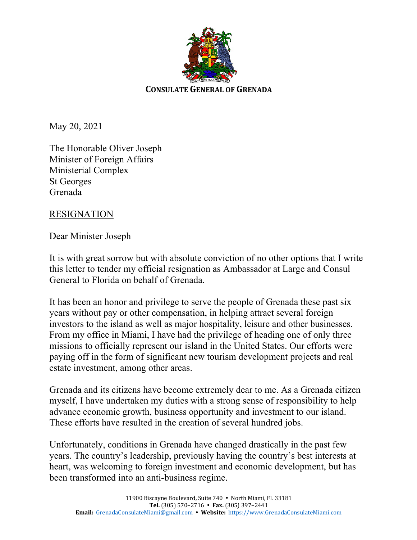

May 20, 2021

The Honorable Oliver Joseph Minister of Foreign Affairs Ministerial Complex St Georges Grenada

## RESIGNATION

Dear Minister Joseph

It is with great sorrow but with absolute conviction of no other options that I write this letter to tender my official resignation as Ambassador at Large and Consul General to Florida on behalf of Grenada.

It has been an honor and privilege to serve the people of Grenada these past six years without pay or other compensation, in helping attract several foreign investors to the island as well as major hospitality, leisure and other businesses. From my office in Miami, I have had the privilege of heading one of only three missions to officially represent our island in the United States. Our efforts were paying off in the form of significant new tourism development projects and real estate investment, among other areas.

Grenada and its citizens have become extremely dear to me. As a Grenada citizen myself, I have undertaken my duties with a strong sense of responsibility to help advance economic growth, business opportunity and investment to our island. These efforts have resulted in the creation of several hundred jobs.

Unfortunately, conditions in Grenada have changed drastically in the past few years. The country's leadership, previously having the country's best interests at heart, was welcoming to foreign investment and economic development, but has been transformed into an anti-business regime.